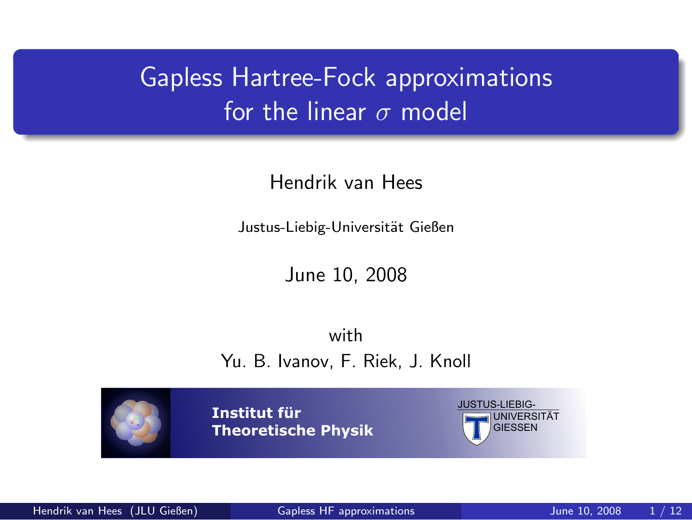# Gapless Hartree-Fock approximations for the linear  $\sigma$  model

Hendrik van Hees

Justus-Liebig-Universität Gießen

<span id="page-0-0"></span>June 10, 2008

with Yu. B. Ivanov, F. Riek, J. Knoll

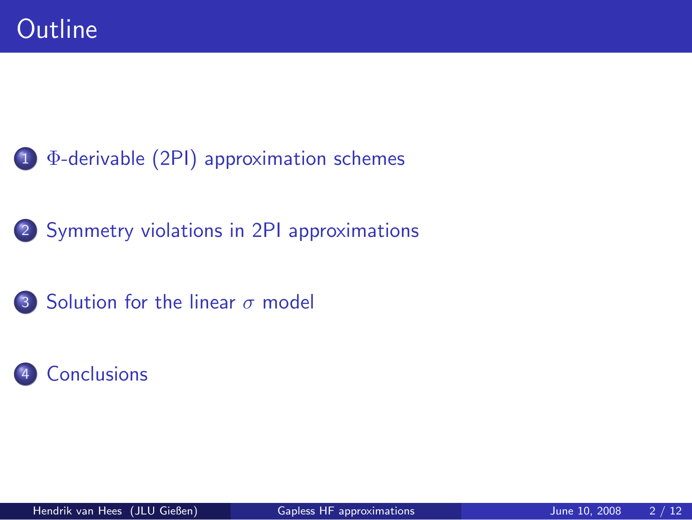#### 1 Φ[-derivable \(2PI\) approximation schemes](#page-2-0)

#### 2 [Symmetry violations in 2PI approximations](#page-7-0)

#### 3 [Solution for the linear](#page-8-0)  $\sigma$  model

#### **[Conclusions](#page-12-0)**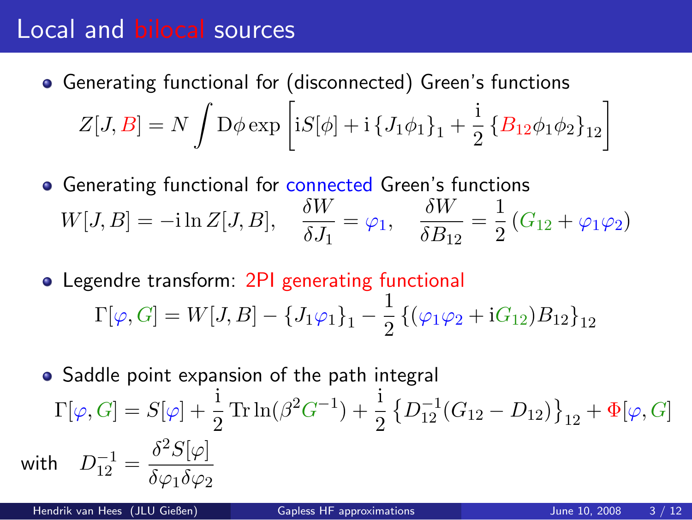#### Local and bilocal sources

- Generating functional for (disconnected) Green's functions  $Z[J,B]=N\,\int \mathrm{D}\phi \exp\left[ \mathrm{i} S[\phi]+\mathrm{i}\left\{ J_{1}\phi_{1}\right\} _{1}+\frac{\mathrm{i}}{2}\right] ,$  $\frac{1}{2} \left\{ B_{12} \phi_1 \phi_2 \right\}_{12}$
- Generating functional for connected Green's functions  $W[J, B] = -i \ln Z[J, B], \quad \frac{\delta W}{\delta I}$  $\frac{\delta W}{\delta J_1} = \varphi_1, \quad \frac{\delta W}{\delta B_1}$  $\frac{\delta W}{\delta B_{12}} = \frac{1}{2}$  $\frac{1}{2}(G_{12} + \varphi_1 \varphi_2)$
- Legendre transform: 2PI generating functional  $\Gamma[\varphi,G] = W[J,B] - \{J_1\varphi_1\}_1 - \frac{1}{2}$  $\frac{1}{2}\left\{(\varphi_1\varphi_2+iG_{12})B_{12}\right\}_{12}$
- <span id="page-2-0"></span>• Saddle point expansion of the path integral  $\Gamma[\varphi, G] = S[\varphi] + \frac{1}{2} \text{Tr} \ln(\beta^2 G^{-1}) + \frac{1}{2}$  $\left\{D_{12}^{-1}(G_{12}-D_{12})\right\}_{12} + \Phi[\varphi,G]$ with  $D_{12}^{-1} = \frac{\delta^2 S[\varphi]}{\delta \varphi \delta \varphi^2}$  $\delta\varphi_1\delta\varphi_2$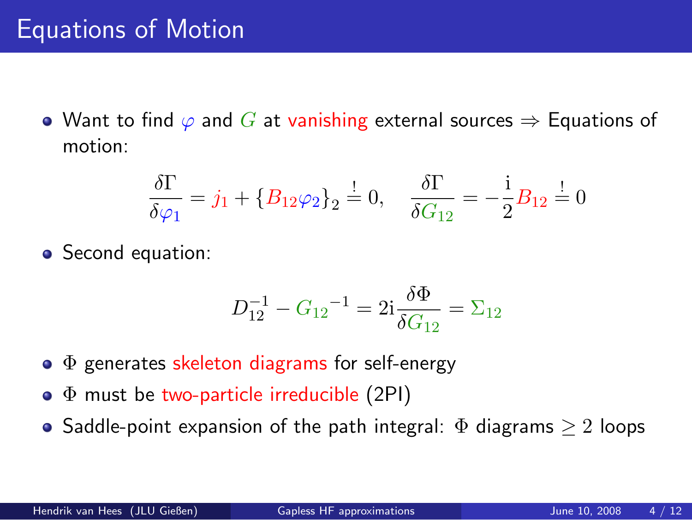### Equations of Motion

 $\bullet$  Want to find  $\varphi$  and G at vanishing external sources  $\Rightarrow$  Equations of motion:

$$
\frac{\delta \Gamma}{\delta \varphi_1} = j_1 + \{B_{12} \varphi_2\}_2 = 0, \quad \frac{\delta \Gamma}{\delta G_{12}} = -\frac{i}{2} B_{12} = 0
$$

• Second equation:

$$
D_{12}^{-1} - G_{12}^{-1} = 2i \frac{\delta \Phi}{\delta G_{12}} = \Sigma_{12}
$$

- $\bullet$   $\Phi$  generates skeleton diagrams for self-energy
- $\bullet$   $\Phi$  must be two-particle irreducible (2PI)
- Saddle-point expansion of the path integral:  $\Phi$  diagrams  $\geq 2$  loops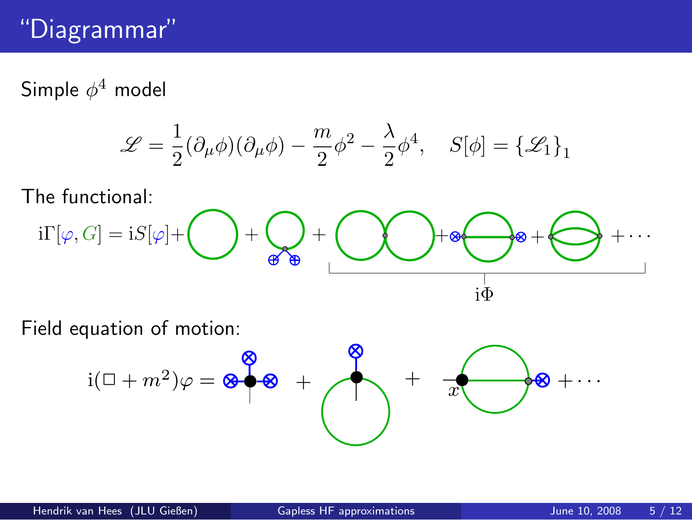## "Diagrammar"

Simple  $\phi^4$  model

$$
\mathscr{L} = \frac{1}{2}(\partial_{\mu}\phi)(\partial_{\mu}\phi) - \frac{m}{2}\phi^2 - \frac{\lambda}{2}\phi^4, \quad S[\phi] = {\mathscr{L}_1}_1
$$

The functional:

$$
i\Gamma[\varphi,G]=iS[\varphi]+\bigodot{}+\bigodot_{\textstyle\oplus\textstyle\bigoplus}\hspace{-1em}+\bigodot\bigodot\hspace{-1em}+\textstyle\bigodot\oplus\hspace{-1em}+\bigodot\hspace{-1em}+\cdots\hspace{-1em}\bigodot\hspace{-1em}+\cdots
$$

Field equation of motion:

$$
i(\Box + m^2)\varphi = \otimes \bigotimes^{\bigotimes} \otimes \cdots
$$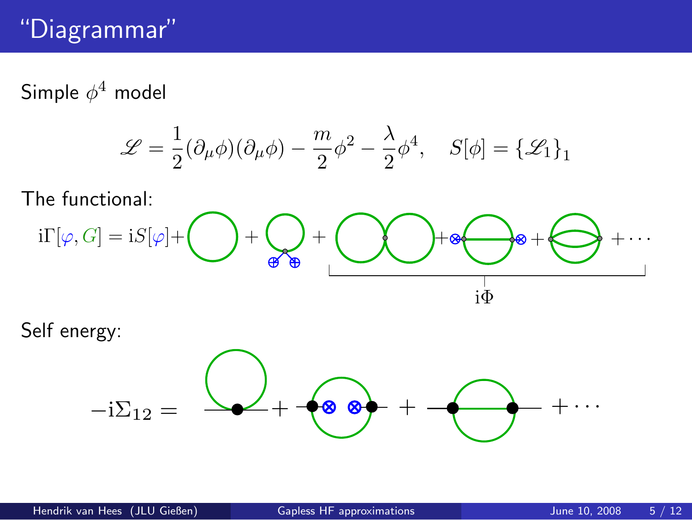### "Diagrammar"

Simple  $\phi^4$  model

$$
\mathcal{L} = \frac{1}{2}(\partial_{\mu}\phi)(\partial_{\mu}\phi) - \frac{m}{2}\phi^{2} - \frac{\lambda}{2}\phi^{4}, \quad S[\phi] = {\mathcal{L}_{1}}_{1}
$$

The functional:

$$
i\Gamma[\varphi,G]=iS[\varphi]+\bigodot+\bigodot_{\textstyle\bigoplus\limits_{\textstyle\bigoplus\limits_{i\in\textstyle\bigoplus}}}\begin{array}{c}+\bullet\\+\bullet\\ \textstyle\bigoplus\limits_{i\in\textstyle\bigoplus\limits_{i\in\textstyle\bigoplus}}\end{array}+\cdots
$$

Self energy:

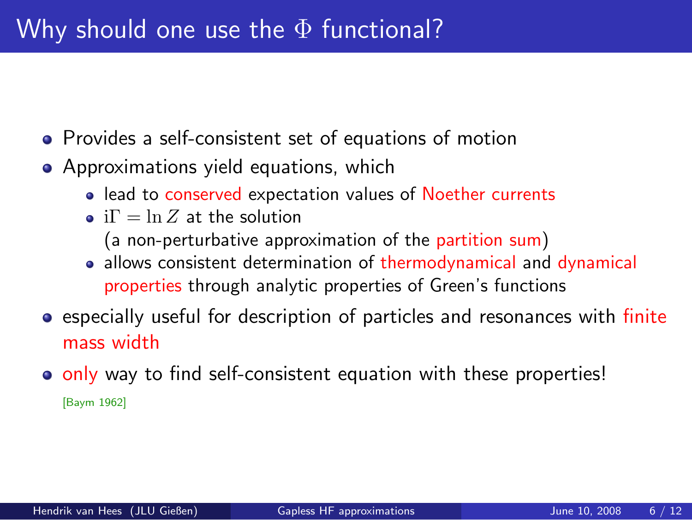- **•** Provides a self-consistent set of equations of motion
- Approximations yield equations, which
	- lead to conserved expectation values of Noether currents
	- i $\Gamma = \ln Z$  at the solution
		- (a non-perturbative approximation of the partition sum)
	- allows consistent determination of thermodynamical and dynamical properties through analytic properties of Green's functions
- **Exercially useful for description of particles and resonances with finite** mass width
- o only way to find self-consistent equation with these properties! [Baym 1962]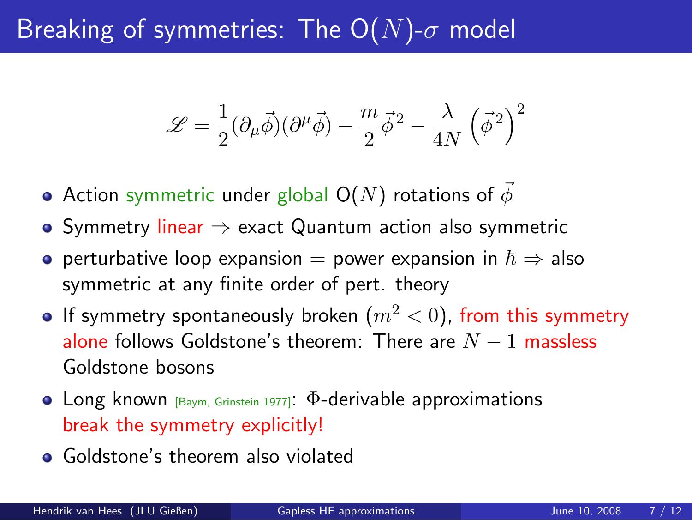## Breaking of symmetries: The  $O(N)$ - $\sigma$  model

$$
\mathscr{L}=\frac{1}{2}(\partial_{\mu}\vec{\phi})(\partial^{\mu}\vec{\phi})-\frac{m}{2}\vec{\phi}^{\,2}-\frac{\lambda}{4N}\left(\vec{\phi}^{\,2}\right)^{2}
$$

- Action symmetric under global  $O(N)$  rotations of  $\phi$
- Symmetry linear ⇒ exact Quantum action also symmetric
- o perturbative loop expansion = power expansion in  $\hbar \Rightarrow$  also symmetric at any finite order of pert. theory
- If symmetry spontaneously broken  $(m^2 < 0)$ , from this symmetry alone follows Goldstone's theorem: There are  $N - 1$  massless Goldstone bosons
- **•** Long known  $[B_{\text{aym}}]$ , Grinstein 1977]:  $\Phi$ -derivable approximations break the symmetry explicitly!
- <span id="page-7-0"></span>• Goldstone's theorem also violated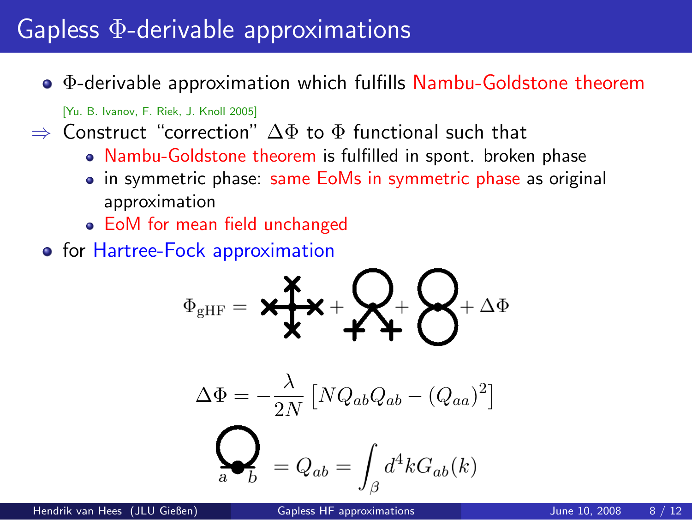#### Gapless Φ-derivable approximations

Φ-derivable approximation which fulfills Nambu-Goldstone theorem

[Yu. B. Ivanov, F. Riek, J. Knoll 2005]

 $\Rightarrow$  Construct "correction"  $\Delta\Phi$  to  $\Phi$  functional such that

- Nambu-Goldstone theorem is fulfilled in spont. broken phase
- in symmetric phase: same EoMs in symmetric phase as original approximation
- EoM for mean field unchanged
- **•** for Hartree-Fock approximation

$$
\Phi_{\text{gHF}} = \mathbf{X} + \mathbf{X} + \mathbf{X} + \mathbf{X} + \mathbf{X} + \Delta \Phi
$$

$$
\Delta \Phi = -\frac{\lambda}{2N} \left[ N Q_{ab} Q_{ab} - (Q_{aa})^2 \right]
$$

<span id="page-8-0"></span>
$$
\sum_a = Q_{ab} = \int_\beta d^4 k G_{ab}(k)
$$

Hendrik van Hees (JLU Gießen) [Gapless HF approximations](#page-0-0) June 10, 2008 8 / 12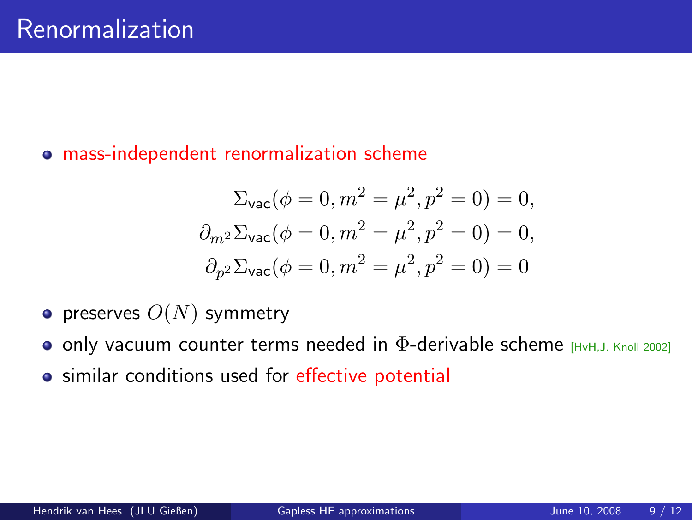#### mass-independent renormalization scheme

$$
\Sigma_{\text{vac}}(\phi = 0, m^2 = \mu^2, p^2 = 0) = 0,
$$
  

$$
\partial_{m^2} \Sigma_{\text{vac}}(\phi = 0, m^2 = \mu^2, p^2 = 0) = 0,
$$
  

$$
\partial_{p^2} \Sigma_{\text{vac}}(\phi = 0, m^2 = \mu^2, p^2 = 0) = 0
$$

- preserves  $O(N)$  symmetry
- **o** only vacuum counter terms needed in  $\Phi$ -derivable scheme  $H_{\text{HvH, J. Knoll 2002}}$
- **•** similar conditions used for effective potential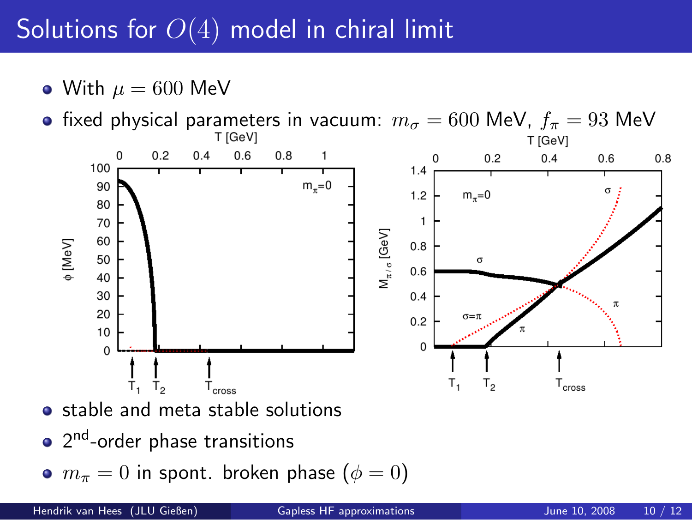# Solutions for  $O(4)$  model in chiral limit

- With  $\mu = 600$  MeV
- **•** fixed physical parameters in vacuum:  $m_{\sigma} = 600$  MeV,  $f_{\pi} = 93$  MeV<br>  $\frac{1}{10}$



- stable and meta stable solutions
- 2 nd-order phase transitions
- $m_{\pi} = 0$  in spont. broken phase  $(\phi = 0)$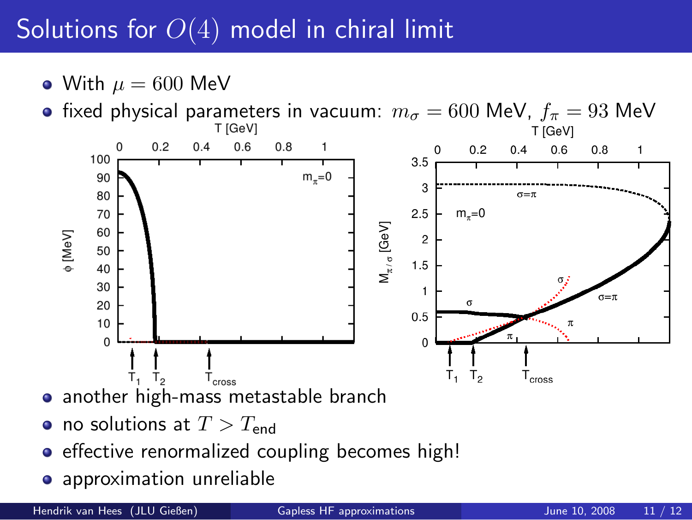# Solutions for  $O(4)$  model in chiral limit

- With  $\mu = 600$  MeV
- **•** fixed physical parameters in vacuum:  $m_{\sigma} = 600$  MeV,  $f_{\pi} = 93$  MeV<br>  $\frac{1}{10}$



- another high-mass metastable branch
- no solutions at  $T > T_{end}$
- **•** effective renormalized coupling becomes high!
- **•** approximation unreliable